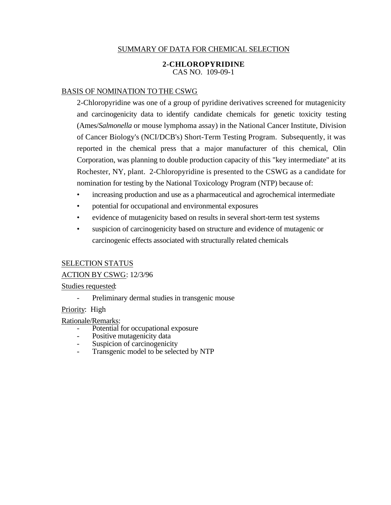# SUMMARY OF DATA FOR CHEMICAL SELECTION

#### **2-CHLOROPYRIDINE**  CAS NO. 109-09-1

### BASIS OF NOMINATION TO THE CSWG

2-Chloropyridine was one of a group of pyridine derivatives screened for mutagenicity and carcinogenicity data to identify candidate chemicals for genetic toxicity testing (Ames/*Salmonella* or mouse lymphoma assay) in the National Cancer Institute, Division of Cancer Biology's (NCI/DCB's) Short-Term Testing Program. Subsequently, it was reported in the chemical press that a major manufacturer of this chemical, Olin Corporation, was planning to double production capacity of this "key intermediate" at its Rochester, NY, plant. 2-Chloropyridine is presented to the CSWG as a candidate for nomination for testing by the National Toxicology Program (NTP) because of:

- increasing production and use as a pharmaceutical and agrochemical intermediate
- potential for occupational and environmental exposures
- evidence of mutagenicity based on results in several short-term test systems
- suspicion of carcinogenicity based on structure and evidence of mutagenic or carcinogenic effects associated with structurally related chemicals

### SELECTION STATUS

# ACTION BY CSWG: 12/3/96

#### Studies requested:

Preliminary dermal studies in transgenic mouse

### Priority: High

Rationale/Remarks:

- Potential for occupational exposure
- Positive mutagenicity data
- Suspicion of carcinogenicity
- Transgenic model to be selected by NTP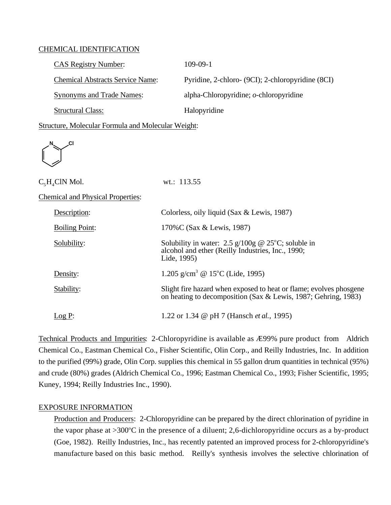#### CHEMICAL IDENTIFICATION

| <b>CAS Registry Number:</b>             | $109-09-1$                                        |
|-----------------------------------------|---------------------------------------------------|
| <b>Chemical Abstracts Service Name:</b> | Pyridine, 2-chloro- (9CI); 2-chloropyridine (8CI) |
| <b>Synonyms and Trade Names:</b>        | alpha-Chloropyridine; $o$ -chloropyridine         |
| <b>Structural Class:</b>                | Halopyridine                                      |

Structure, Molecular Formula and Molecular Weight:

**N Cl** 

| $C_{5}H_{4}CIN$ Mol.                     | wt.: $113.55$                                                                                                            |
|------------------------------------------|--------------------------------------------------------------------------------------------------------------------------|
| <b>Chemical and Physical Properties:</b> |                                                                                                                          |
| Description:                             | Colorless, oily liquid (Sax & Lewis, 1987)                                                                               |
| <b>Boiling Point:</b>                    | 170%C (Sax & Lewis, 1987)                                                                                                |
| Solubility:                              | Solubility in water: 2.5 $g/100g$ @ 25°C; soluble in<br>alcohol and ether (Reilly Industries, Inc., 1990;<br>Lide, 1995) |

Density: Stability:  $Log P:$ <u>Density</u>: 1.205 g/cm<sup>3</sup> @ 15<sup>o</sup>C (Lide, 1995) Slight fire hazard when exposed to heat or flame; evolves phosgene on heating to decomposition (Sax & Lewis, 1987; Gehring, 1983) 1.22 or 1.34 @ pH 7 (Hansch *et al.*, 1995)

 Technical Products and Impurities: 2-Chloropyridine is available as Æ99% pure product from Aldrich Chemical Co., Eastman Chemical Co., Fisher Scientific, Olin Corp., and Reilly Industries, Inc. In addition to the purified (99%) grade, Olin Corp. supplies this chemical in 55 gallon drum quantities in technical (95%) and crude (80%) grades (Aldrich Chemical Co., 1996; Eastman Chemical Co., 1993; Fisher Scientific, 1995; Kuney, 1994; Reilly Industries Inc., 1990).

# EXPOSURE INFORMATION

Production and Producers: 2-Chloropyridine can be prepared by the direct chlorination of pyridine in the vapor phase at  $>300^{\circ}$ C in the presence of a diluent; 2,6-dichloropyridine occurs as a by-product (Goe, 1982). Reilly Industries, Inc., has recently patented an improved process for 2-chloropyridine's manufacture based on this basic method. Reilly's synthesis involves the selective chlorination of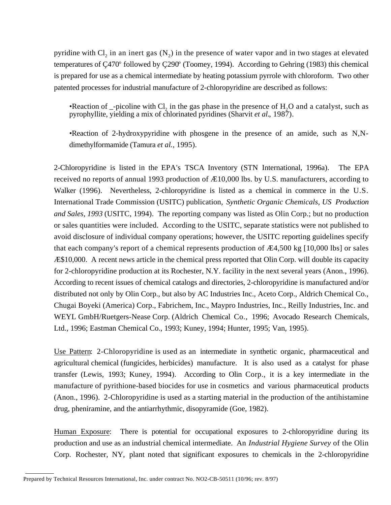pyridine with Cl<sub>2</sub> in an inert gas  $(N_2)$  in the presence of water vapor and in two stages at elevated temperatures of Ç470° followed by Ç290° (Toomey, 1994). According to Gehring (1983) this chemical is prepared for use as a chemical intermediate by heating potassium pyrrole with chloroform. Two other patented processes for industrial manufacture of 2-chloropyridine are described as follows:

•Reaction of  $\overline{\phantom{a}}$ -picoline with Cl<sub>2</sub> in the gas phase in the presence of H<sub>2</sub>O and a catalyst, such as pyrophyllite, yielding a mix of chlorinated pyridines (Sharvit *et al.*, 1987).

•Reaction of 2-hydroxypyridine with phosgene in the presence of an amide, such as N,Ndimethylformamide (Tamura *et al.,* 1995).

2-Chloropyridine is listed in the EPA's TSCA Inventory (STN International, 1996a). The EPA received no reports of annual 1993 production of Æ10,000 lbs. by U.S. manufacturers, according to Walker (1996). Nevertheless, 2-chloropyridine is listed as a chemical in commerce in the U.S. International Trade Commission (USITC) publication, *Synthetic Organic Chemicals, US Production and Sales, 1993* (USITC, 1994). The reporting company was listed as Olin Corp.; but no production or sales quantities were included. According to the USITC, separate statistics were not published to avoid disclosure of individual company operations; however, the USITC reporting guidelines specify that each company's report of a chemical represents production of Æ4,500 kg [10,000 lbs] or sales Æ\$10,000. A recent news article in the chemical press reported that Olin Corp. will double its capacity for 2-chloropyridine production at its Rochester, N.Y. facility in the next several years (Anon., 1996). According to recent issues of chemical catalogs and directories, 2-chloropyridine is manufactured and/or distributed not only by Olin Corp., but also by AC Industries Inc., Aceto Corp., Aldrich Chemical Co., Chugai Boyeki (America) Corp., Fabrichem, Inc., Maypro Industries, Inc., Reilly Industries, Inc. and WEYL GmbH/Ruetgers-Nease Corp. (Aldrich Chemical Co., 1996; Avocado Research Chemicals, Ltd., 1996; Eastman Chemical Co., 1993; Kuney, 1994; Hunter, 1995; Van, 1995).

 Use Pattern: 2-Chloropyridine is used as an intermediate in synthetic organic, pharmaceutical and agricultural chemical (fungicides, herbicides) manufacture. It is also used as a catalyst for phase transfer (Lewis, 1993; Kuney, 1994). According to Olin Corp., it is a key intermediate in the manufacture of pyrithione-based biocides for use in cosmetics and various pharmaceutical products (Anon., 1996). 2-Chloropyridine is used as a starting material in the production of the antihistamine drug, pheniramine, and the antiarrhythmic, disopyramide (Goe, 1982).

Human Exposure: There is potential for occupational exposures to 2-chloropyridine during its production and use as an industrial chemical intermediate. An *Industrial Hygiene Survey* of the Olin Corp. Rochester, NY, plant noted that significant exposures to chemicals in the 2-chloropyridine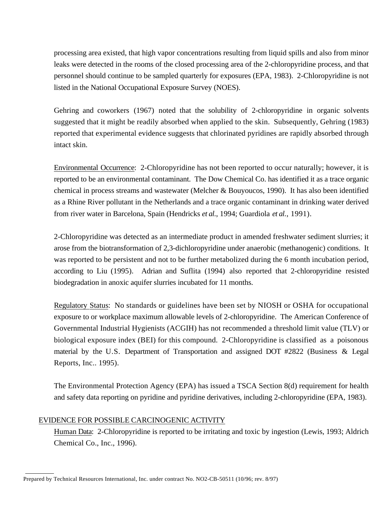processing area existed, that high vapor concentrations resulting from liquid spills and also from minor leaks were detected in the rooms of the closed processing area of the 2-chloropyridine process, and that personnel should continue to be sampled quarterly for exposures (EPA, 1983). 2-Chloropyridine is not listed in the National Occupational Exposure Survey (NOES).

Gehring and coworkers (1967) noted that the solubility of 2-chloropyridine in organic solvents suggested that it might be readily absorbed when applied to the skin. Subsequently, Gehring (1983) reported that experimental evidence suggests that chlorinated pyridines are rapidly absorbed through intact skin.

Environmental Occurrence: 2-Chloropyridine has not been reported to occur naturally; however, it is reported to be an environmental contaminant. The Dow Chemical Co. has identified it as a trace organic chemical in process streams and wastewater (Melcher & Bouyoucos, 1990). It has also been identified as a Rhine River pollutant in the Netherlands and a trace organic contaminant in drinking water derived from river water in Barcelona, Spain (Hendricks *et al*., 1994; Guardiola *et al*., 1991).

2-Chloropyridine was detected as an intermediate product in amended freshwater sediment slurries; it arose from the biotransformation of 2,3-dichloropyridine under anaerobic (methanogenic) conditions. It was reported to be persistent and not to be further metabolized during the 6 month incubation period, according to Liu (1995). Adrian and Suflita (1994) also reported that 2-chloropyridine resisted biodegradation in anoxic aquifer slurries incubated for 11 months.

Regulatory Status: No standards or guidelines have been set by NIOSH or OSHA for occupational exposure to or workplace maximum allowable levels of 2-chloropyridine. The American Conference of Governmental Industrial Hygienists (ACGIH) has not recommended a threshold limit value (TLV) or biological exposure index (BEI) for this compound. 2-Chloropyridine is classified as a poisonous material by the U.S. Department of Transportation and assigned DOT #2822 (Business & Legal Reports, Inc.. 1995).

The Environmental Protection Agency (EPA) has issued a TSCA Section 8(d) requirement for health and safety data reporting on pyridine and pyridine derivatives, including 2-chloropyridine (EPA, 1983).

# EVIDENCE FOR POSSIBLE CARCINOGENIC ACTIVITY

 $\overline{a}$ 

Human Data: 2-Chloropyridine is reported to be irritating and toxic by ingestion (Lewis, 1993; Aldrich Chemical Co., Inc., 1996).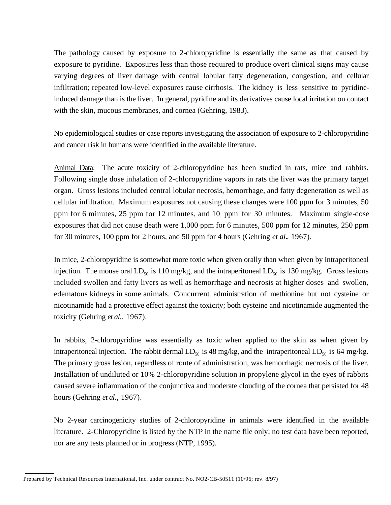The pathology caused by exposure to 2-chloropyridine is essentially the same as that caused by exposure to pyridine. Exposures less than those required to produce overt clinical signs may cause varying degrees of liver damage with central lobular fatty degeneration, congestion, and cellular infiltration; repeated low-level exposures cause cirrhosis. The kidney is less sensitive to pyridineinduced damage than is the liver. In general, pyridine and its derivatives cause local irritation on contact with the skin, mucous membranes, and cornea (Gehring, 1983).

No epidemiological studies or case reports investigating the association of exposure to 2-chloropyridine and cancer risk in humans were identified in the available literature.

Animal Data: The acute toxicity of 2-chloropyridine has been studied in rats, mice and rabbits. Following single dose inhalation of 2-chloropyridine vapors in rats the liver was the primary target organ. Gross lesions included central lobular necrosis, hemorrhage, and fatty degeneration as well as cellular infiltration. Maximum exposures not causing these changes were 100 ppm for 3 minutes, 50 ppm for 6 minutes, 25 ppm for 12 minutes, and 10 ppm for 30 minutes. Maximum single-dose exposures that did not cause death were 1,000 ppm for 6 minutes, 500 ppm for 12 minutes, 250 ppm for 30 minutes, 100 ppm for 2 hours, and 50 ppm for 4 hours (Gehring *et al.*, 1967).

In mice, 2-chloropyridine is somewhat more toxic when given orally than when given by intraperitoneal injection. The mouse oral  $LD_{50}$  is 110 mg/kg, and the intraperitoneal  $LD_{50}$  is 130 mg/kg. Gross lesions included swollen and fatty livers as well as hemorrhage and necrosis at higher doses and swollen, edematous kidneys in some animals. Concurrent administration of methionine but not cysteine or nicotinamide had a protective effect against the toxicity; both cysteine and nicotinamide augmented the toxicity (Gehring *et al*., 1967).

In rabbits, 2-chloropyridine was essentially as toxic when applied to the skin as when given by intraperitoneal injection. The rabbit dermal  $LD_{50}$  is 48 mg/kg, and the intraperitoneal  $LD_{50}$  is 64 mg/kg. The primary gross lesion, regardless of route of administration, was hemorrhagic necrosis of the liver. Installation of undiluted or 10% 2-chloropyridine solution in propylene glycol in the eyes of rabbits caused severe inflammation of the conjunctiva and moderate clouding of the cornea that persisted for 48 hours (Gehring *et al*., 1967).

No 2-year carcinogenicity studies of 2-chloropyridine in animals were identified in the available literature. 2-Chloropyridine is listed by the NTP in the name file only; no test data have been reported, nor are any tests planned or in progress (NTP, 1995).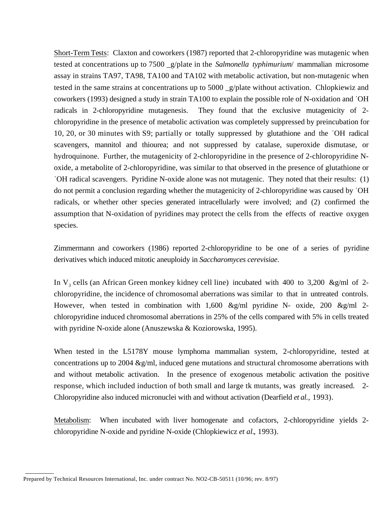Short-Term Tests: Claxton and coworkers (1987) reported that 2-chloropyridine was mutagenic when tested at concentrations up to 7500 \_g/plate in the *Salmonella typhimurium*/ mammalian microsome assay in strains TA97, TA98, TA100 and TA102 with metabolic activation, but non-mutagenic when tested in the same strains at concentrations up to 5000 \_g/plate without activation. Chlopkiewiz and coworkers (1993) designed a study in strain TA100 to explain the possible role of N-oxidation and ˙OH radicals in 2-chloropyridine mutagenesis. They found that the exclusive mutagenicity of 2 chloropyridine in the presence of metabolic activation was completely suppressed by preincubation for 10, 20, or 30 minutes with S9; partially or totally suppressed by glutathione and the ˙OH radical scavengers, mannitol and thiourea; and not suppressed by catalase, superoxide dismutase, or hydroquinone. Further, the mutagenicity of 2-chloropyridine in the presence of 2-chloropyridine Noxide, a metabolite of 2-chloropyridine, was similar to that observed in the presence of glutathione or ˙OH radical scavengers. Pyridine N-oxide alone was not mutagenic. They noted that their results: (1) do not permit a conclusion regarding whether the mutagenicity of 2-chloropyridine was caused by ˙OH radicals, or whether other species generated intracellularly were involved; and (2) confirmed the assumption that N-oxidation of pyridines may protect the cells from the effects of reactive oxygen species.

Zimmermann and coworkers (1986) reported 2-chloropyridine to be one of a series of pyridine derivatives which induced mitotic aneuploidy in *Saccharomyces cerevisiae*.

In V<sub>3</sub> cells (an African Green monkey kidney cell line) incubated with 400 to 3,200 &g/ml of 2chloropyridine, the incidence of chromosomal aberrations was similar to that in untreated controls. However, when tested in combination with  $1,600 \& g/ml$  pyridine N- oxide, 200  $\& g/ml$  2chloropyridine induced chromosomal aberrations in 25% of the cells compared with 5% in cells treated with pyridine N-oxide alone (Anuszewska & Koziorowska, 1995).

When tested in the L5178Y mouse lymphoma mammalian system, 2-chloropyridine, tested at concentrations up to 2004 &g/ml, induced gene mutations and structural chromosome aberrations with and without metabolic activation. In the presence of exogenous metabolic activation the positive response, which included induction of both small and large tk mutants, was greatly increased. 2- Chloropyridine also induced micronuclei with and without activation (Dearfield *et al*., 1993).

Metabolism: When incubated with liver homogenate and cofactors, 2-chloropyridine yields 2chloropyridine N-oxide and pyridine N-oxide (Chlopkiewicz *et al.*, 1993).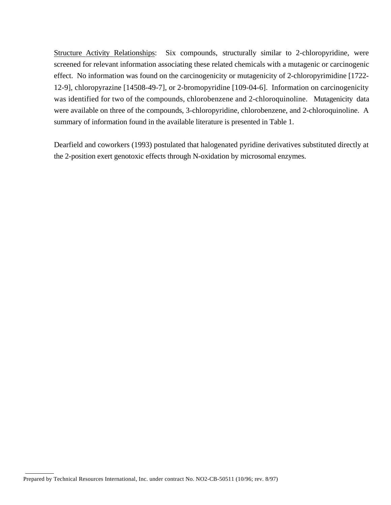Structure Activity Relationships: Six compounds, structurally similar to 2-chloropyridine, were screened for relevant information associating these related chemicals with a mutagenic or carcinogenic effect. No information was found on the carcinogenicity or mutagenicity of 2-chloropyrimidine [1722- 12-9], chloropyrazine [14508-49-7], or 2-bromopyridine [109-04-6]. Information on carcinogenicity was identified for two of the compounds, chlorobenzene and 2-chloroquinoline. Mutagenicity data were available on three of the compounds, 3-chloropyridine, chlorobenzene, and 2-chloroquinoline. A summary of information found in the available literature is presented in Table 1.

Dearfield and coworkers (1993) postulated that halogenated pyridine derivatives substituted directly at the 2-position exert genotoxic effects through N-oxidation by microsomal enzymes.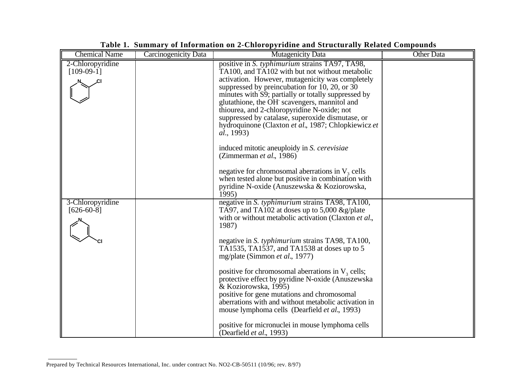| <b>Chemical Name</b>             | Carcinogenicity Data | <b>Mutagenicity Data</b>                                                                                                                                                                                                                                                                                                                                                                                                                                                                                                                                                                                                                                                                                                                            | <b>Other Data</b> |
|----------------------------------|----------------------|-----------------------------------------------------------------------------------------------------------------------------------------------------------------------------------------------------------------------------------------------------------------------------------------------------------------------------------------------------------------------------------------------------------------------------------------------------------------------------------------------------------------------------------------------------------------------------------------------------------------------------------------------------------------------------------------------------------------------------------------------------|-------------------|
| 2-Chloropyridine<br>$[109-09-1]$ |                      | positive in S. typhimurium strains TA97, TA98,<br>TA100, and TA102 with but not without metabolic<br>activation. However, mutagenicity was completely<br>suppressed by preincubation for 10, 20, or 30<br>minutes with S9; partially or totally suppressed by<br>glutathione, the OH scavengers, mannitol and<br>thiourea, and 2-chloropyridine N-oxide; not<br>suppressed by catalase, superoxide dismutase, or<br>hydroquinone (Claxton et al., 1987; Chlopkiewicz et<br><i>al.</i> , 1993)<br>induced mitotic aneuploidy in <i>S. cerevisiae</i><br>(Zimmerman et al., 1986)<br>negative for chromosomal aberrations in $V3$ cells<br>when tested alone but positive in combination with<br>pyridine N-oxide (Anuszewska & Koziorowska,<br>1995) |                   |
| 3-Chloropyridine<br>$[626-60-8]$ |                      | negative in S. typhimurium strains TA98, TA100,<br>TA97, and TA102 at doses up to 5,000 $\&$ g/plate<br>with or without metabolic activation (Claxton et al.,<br>1987)<br>negative in S. typhimurium strains TA98, TA100,<br>TA1535, TA1537, and TA1538 at doses up to 5<br>mg/plate (Simmon <i>et al.</i> , 1977)<br>positive for chromosomal aberrations in $V_3$ cells;<br>protective effect by pyridine N-oxide (Anuszewska<br>& Koziorowska, 1995)<br>positive for gene mutations and chromosomal<br>aberrations with and without metabolic activation in<br>mouse lymphoma cells (Dearfield <i>et al.</i> , 1993)<br>positive for micronuclei in mouse lymphoma cells<br>(Dearfield <i>et al.</i> , 1993)                                     |                   |

|  | Table 1. Summary of Information on 2-Chloropyridine and Structurally Related Compounds |  |  |
|--|----------------------------------------------------------------------------------------|--|--|
|  |                                                                                        |  |  |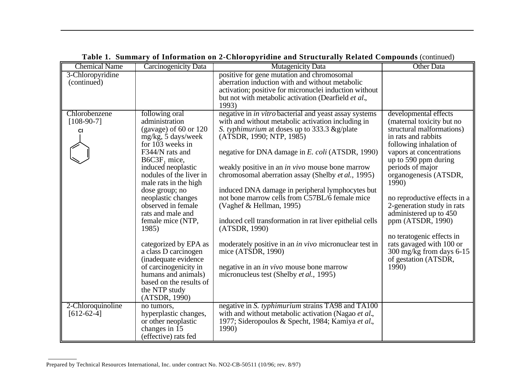| <b>Chemical Name</b> | <b>Carcinogenicity Data</b>                  | <b>Mutagenicity Data</b>                                      | <b>Other Data</b>                                |
|----------------------|----------------------------------------------|---------------------------------------------------------------|--------------------------------------------------|
| 3-Chloropyridine     |                                              | positive for gene mutation and chromosomal                    |                                                  |
| (continued)          |                                              | aberration induction with and without metabolic               |                                                  |
|                      |                                              | activation; positive for micronuclei induction without        |                                                  |
|                      |                                              | but not with metabolic activation (Dearfield et al.,<br>1993) |                                                  |
| Chlorobenzene        | following oral                               | negative in <i>in vitro</i> bacterial and yeast assay systems | developmental effects                            |
| $[108-90-7]$         | administration                               | with and without metabolic activation including in            | (maternal toxicity but no                        |
| CI                   | (gavage) of $60$ or $120$                    | S. typhimurium at doses up to 333.3 & g/plate                 | structural malformations)                        |
|                      | $mg/kg$ , 5 days/week                        | (ATSDR, 1990; NTP, 1985)                                      | in rats and rabbits                              |
|                      | for 103 weeks in                             |                                                               | following inhalation of                          |
|                      | F344/N rats and                              | negative for DNA damage in E. coli (ATSDR, 1990)              | vapors at concentrations<br>up to 590 ppm during |
|                      | $B6C3F1$ mice,<br>induced neoplastic         | weakly positive in an <i>in vivo</i> mouse bone marrow        | periods of major                                 |
|                      | nodules of the liver in                      | chromosomal aberration assay (Shelby et al., 1995)            | organogenesis (ATSDR,                            |
|                      | male rats in the high                        |                                                               | 1990)                                            |
|                      | dose group; no                               | induced DNA damage in peripheral lymphocytes but              |                                                  |
|                      | neoplastic changes                           | not bone marrow cells from C57BL/6 female mice                | no reproductive effects in a                     |
|                      | observed in female                           | (Vaghef & Hellman, 1995)                                      | 2-generation study in rats                       |
|                      | rats and male and                            |                                                               | administered up to 450                           |
|                      | female mice (NTP,                            | induced cell transformation in rat liver epithelial cells     | ppm (ATSDR, 1990)                                |
|                      | 1985)                                        | (ATSDR, 1990)                                                 |                                                  |
|                      |                                              |                                                               | no teratogenic effects in                        |
|                      | categorized by EPA as                        | moderately positive in an <i>in vivo</i> micronuclear test in | rats gavaged with 100 or                         |
|                      | a class D carcinogen                         | mice (ATSDR, 1990)                                            | 300 mg/kg from days 6-15                         |
|                      | (inadequate evidence)                        |                                                               | of gestation (ATSDR,                             |
|                      | of carcinogenicity in<br>humans and animals) | negative in an <i>in vivo</i> mouse bone marrow               | 1990)                                            |
|                      | based on the results of                      | micronucleus test (Shelby et al., 1995)                       |                                                  |
|                      | the NTP study                                |                                                               |                                                  |
|                      | (ATSDR, 1990)                                |                                                               |                                                  |
| 2-Chloroquinoline    | no tumors,                                   | negative in S. typhimurium strains TA98 and TA100             |                                                  |
| $[612-62-4]$         | hyperplastic changes,                        | with and without metabolic activation (Nagao et al.,          |                                                  |
|                      | or other neoplastic                          | 1977; Sideropoulos & Specht, 1984; Kamiya et al.,             |                                                  |
|                      | changes in 15                                | 1990)                                                         |                                                  |
|                      | (effective) rats fed                         |                                                               |                                                  |

# **Table 1. Summary of Information on 2-Chloropyridine and Structurally Related Compounds** (continued)

Prepared by Technical Resources International, Inc. under contract No. NO2-CB-50511 (10/96; rev. 8/97)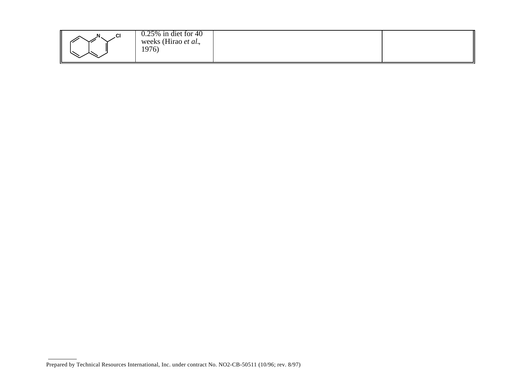| .CI | $0.25\%$ in diet for 40<br>weeks (Hirao <i>et al.</i> ,<br>1976 |  |  |
|-----|-----------------------------------------------------------------|--|--|
|-----|-----------------------------------------------------------------|--|--|

Prepared by Technical Resources International, Inc. under contract No. NO2-CB-50511 (10/96; rev. 8/97)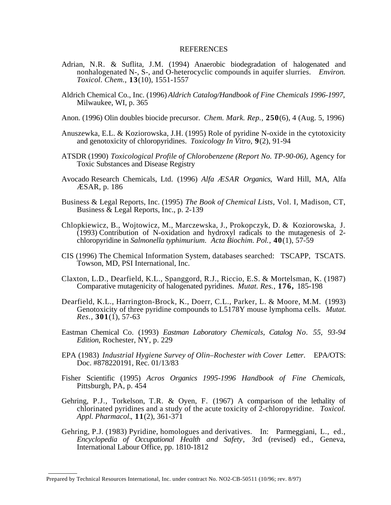#### **REFERENCES**

- Adrian, N.R. & Suflita, J.M. (1994) Anaerobic biodegradation of halogenated and nonhalogenated N-, S-, and O-heterocyclic compounds in aquifer slurries. *Environ. Toxicol. Chem.*, **13**(10), 1551-1557
- Aldrich Chemical Co., Inc. (1996) *Aldrich Catalog/Handbook of Fine Chemicals 1996-1997*, Milwaukee, WI, p. 365
- Anon. (1996) Olin doubles biocide precursor. *Chem. Mark. Rep.*, **250**(6), 4 (Aug. 5, 1996)
- Anuszewka, E.L. & Koziorowska, J.H. (1995) Role of pyridine N-oxide in the cytotoxicity and genotoxicity of chloropyridines. *Toxicology In Vitro*, **9**(2), 91-94
- ATSDR (1990) *Toxicological Profile of Chlorobenzene (Report No. TP-90-06)*, Agency for Toxic Substances and Disease Registry
- Avocado Research Chemicals, Ltd. (1996) *Alfa ÆSAR Organics*, Ward Hill, MA, Alfa ÆSAR, p. 186
- Business & Legal Reports, Inc. (1995) *The Book of Chemical Lists*, Vol. I, Madison, CT, Business & Legal Reports, Inc., p. 2-139
- Chlopkiewicz, B., Wojtowicz, M., Marczewska, J., Prokopczyk, D. & Koziorowska, J.  $(1993)$  Contribution of N-oxidation and hydroxyl radicals to the mutagenesis of 2chloropyridine in *Salmonella typhimurium*. *Acta Biochim. Pol.*, **40**(1), 57-59
- CIS (1996) The Chemical Information System, databases searched: TSCAPP, TSCATS. Towson, MD, PSI International, Inc.
- Claxton, L.D., Dearfield, K.L., Spanggord, R.J., Riccio, E.S. & Mortelsman, K. (1987) Comparative mutagenicity of halogenated pyridines. *Mutat. Res.*, **176,** 185-198
- Dearfield, K.L., Harrington-Brock, K., Doerr, C.L., Parker, L. & Moore, M.M. (1993) Genotoxicity of three pyridine compounds to L5178Y mouse lymphoma cells. *Mutat. Res.*, **301**(1), 57-63
- Eastman Chemical Co. (1993) *Eastman Laboratory Chemicals, Catalog No. 55, 93-94 Edition*, Rochester, NY, p. 229
- EPA (1983) *Industrial Hygiene Survey of Olin–Rochester with Cover Letter*. EPA/OTS: Doc. #878220191, Rec. 01/13/83
- Fisher Scientific (1995) *Acros Organics 1995-1996 Handbook of Fine Chemicals*, Pittsburgh, PA, p. 454
- Gehring, P.J., Torkelson, T.R. & Oyen, F. (1967) A comparison of the lethality of chlorinated pyridines and a study of the acute toxicity of 2-chloropyridine. *Toxicol. Appl. Pharmacol.*, **11**(2), 361-371
- Gehring, P.J. (1983) Pyridine, homologues and derivatives. In: Parmeggiani, L., ed., *Encyclopedia of Occupational Health and Safety*, 3rd (revised) ed., Geneva, International Labour Office, pp. 1810-1812

Prepared by Technical Resources International, Inc. under contract No. NO2-CB-50511 (10/96; rev. 8/97)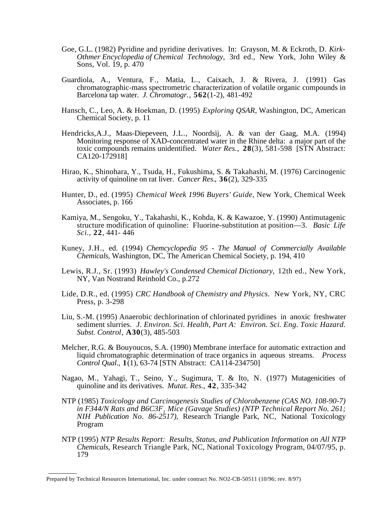- Goe, G.L. (1982) Pyridine and pyridine derivatives. In: Grayson, M. & Eckroth, D. *Kirk-Othmer Encyclopedia of Chemical Technology*, 3rd ed., New York, John Wiley & Sons, Vol. 19, p. 470
- Guardiola, A., Ventura, F., Matia, L., Caixach, J. & Rivera, J. (1991) Gas chromatographic-mass spectrometric characterization of volatile organic compounds in Barcelona tap water. *J. Chromatogr*., **562**(1-2), 481-492
- Hansch, C., Leo, A. & Hoekman, D. (1995) *Exploring QSAR*, Washington, DC, American Chemical Society, p. 11
- Hendricks,A.J., Maas-Diepeveen, J.L., Noordsij, A. & van der Gaag, M.A. (1994) Monitoring response of XAD-concentrated water in the Rhine delta: a major part of the toxic compounds remains unidentified. *Water Res.*, **28**(3), 581-598 [STN Abstract: CA120-172918]
- Hirao, K., Shinohara, Y., Tsuda, H., Fukushima, S. & Takahashi, M. (1976) Carcinogenic activity of quinoline on rat liver. *Cancer Res.*, **36**(2), 329-335
- Hunter, D., ed. (1995) *Chemical Week 1996 Buyers' Guide*, New York, Chemical Week Associates, p. 166
- Kamiya, M., Sengoku, Y., Takahashi, K., Kohda, K. & Kawazoe, Y. (1990) Antimutagenic structure modification of quinoline: Fluorine-substitution at position—3. *Basic Life Sci.*, **22**, 441- 446
- Kuney, J.H., ed. (1994) *Chemcyclopedia 95 The Manual of Commercially Available Chemicals*, Washington, DC, The American Chemical Society, p. 194, 410
- Lewis, R.J., Sr. (1993) *Hawley's Condensed Chemical Dictionary,* 12th ed., New York, NY, Van Nostrand Reinhold Co., p.272
- Lide, D.R., ed. (1995) *CRC Handbook of Chemistry and Physics*. New York, NY, CRC Press, p. 3-298
- Liu, S.-M. (1995) Anaerobic dechlorination of chlorinated pyridines in anoxic freshwater sediment slurries. *J. Environ. Sci. Health, Part A: Environ. Sci. Eng. Toxic Hazard. Subst. Control*, **A30**(3), 485-503
- Melcher, R.G. & Bouyoucos, S.A. (1990) Membrane interface for automatic extraction and liquid chromatographic determination of trace organics in aqueous streams. *Process Control Qual.*, **1**(1), 63-74 [STN Abstract: CA114-234750]
- Nagao, M., Yahagi, T., Seino, Y., Sugimura, T. & Ito, N. (1977) Mutagenicities of quinoline and its derivatives. *Mutat. Res.*, **42**, 335-342
- NTP (1985) *Toxicology and Carcinogenesis Studies of Chlorobenzene (CAS NO. 108-90-7)*  in F344/N Rats and B6C3F, Mice (Gavage Studies) (NTP Technical Report No. 261; *NIH Publication No. 86-2517)*, Research Triangle Park, NC, National Toxicology Program
- NTP (1995) *NTP Results Report: Results, Status, and Publication Information on All NTP Chemicals*, Research Triangle Park, NC, National Toxicology Program, 04/07/95, p. 179

Prepared by Technical Resources International, Inc. under contract No. NO2-CB-50511 (10/96; rev. 8/97)